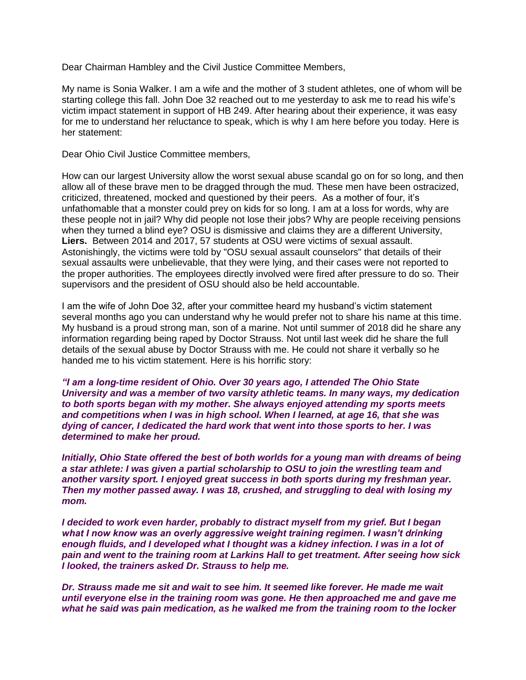Dear Chairman Hambley and the Civil Justice Committee Members,

My name is Sonia Walker. I am a wife and the mother of 3 student athletes, one of whom will be starting college this fall. John Doe 32 reached out to me yesterday to ask me to read his wife's victim impact statement in support of HB 249. After hearing about their experience, it was easy for me to understand her reluctance to speak, which is why I am here before you today. Here is her statement:

Dear Ohio Civil Justice Committee members,

How can our largest University allow the worst sexual abuse scandal go on for so long, and then allow all of these brave men to be dragged through the mud. These men have been ostracized, criticized, threatened, mocked and questioned by their peers. As a mother of four, it's unfathomable that a monster could prey on kids for so long. I am at a loss for words, why are these people not in jail? Why did people not lose their jobs? Why are people receiving pensions when they turned a blind eye? OSU is dismissive and claims they are a different University, **Liers.** Between 2014 and 2017, 57 students at OSU were victims of sexual assault. Astonishingly, the victims were told by "OSU sexual assault counselors" that details of their sexual assaults were unbelievable, that they were lying, and their cases were not reported to the proper authorities. The employees directly involved were fired after pressure to do so. Their supervisors and the president of OSU should also be held accountable.

I am the wife of John Doe 32, after your committee heard my husband's victim statement several months ago you can understand why he would prefer not to share his name at this time. My husband is a proud strong man, son of a marine. Not until summer of 2018 did he share any information regarding being raped by Doctor Strauss. Not until last week did he share the full details of the sexual abuse by Doctor Strauss with me. He could not share it verbally so he handed me to his victim statement. Here is his horrific story:

*"I am a long-time resident of Ohio. Over 30 years ago, I attended The Ohio State University and was a member of two varsity athletic teams. In many ways, my dedication to both sports began with my mother. She always enjoyed attending my sports meets and competitions when I was in high school. When I learned, at age 16, that she was dying of cancer, I dedicated the hard work that went into those sports to her. I was determined to make her proud.*

*Initially, Ohio State offered the best of both worlds for a young man with dreams of being a star athlete: I was given a partial scholarship to OSU to join the wrestling team and another varsity sport. I enjoyed great success in both sports during my freshman year. Then my mother passed away. I was 18, crushed, and struggling to deal with losing my mom.*

*I decided to work even harder, probably to distract myself from my grief. But I began what I now know was an overly aggressive weight training regimen. I wasn't drinking enough fluids, and I developed what I thought was a kidney infection. I was in a lot of pain and went to the training room at Larkins Hall to get treatment. After seeing how sick I looked, the trainers asked Dr. Strauss to help me.*

*Dr. Strauss made me sit and wait to see him. It seemed like forever. He made me wait until everyone else in the training room was gone. He then approached me and gave me what he said was pain medication, as he walked me from the training room to the locker*